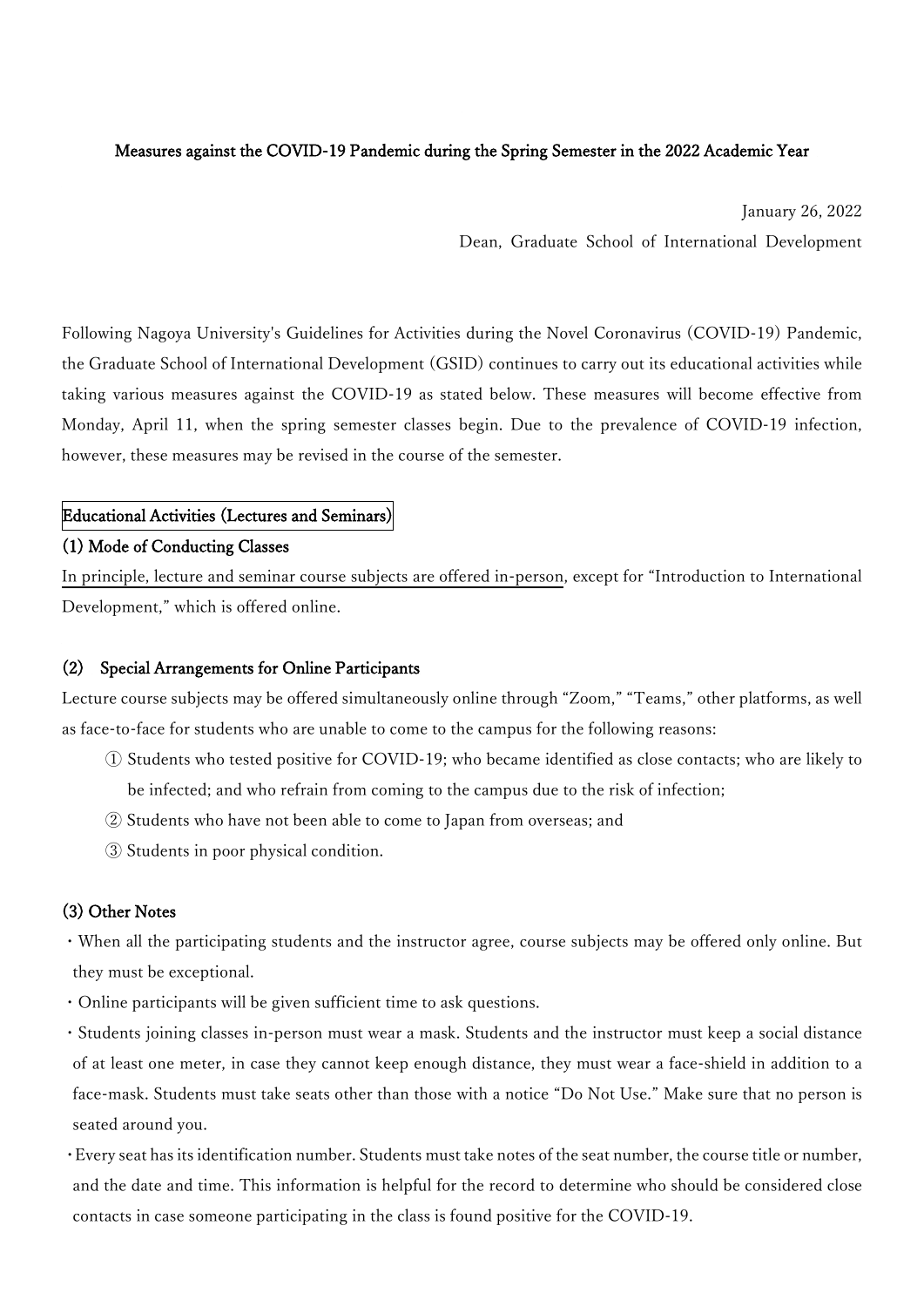## Measures against the COVID-19 Pandemic during the Spring Semester in the 2022 Academic Year

January 26, 2022

Dean, Graduate School of International Development

Following Nagoya University's Guidelines for Activities during the Novel Coronavirus (COVID-19) Pandemic, the Graduate School of International Development (GSID) continues to carry out its educational activities while taking various measures against the COVID-19 as stated below. These measures will become effective from Monday, April 11, when the spring semester classes begin. Due to the prevalence of COVID-19 infection, however, these measures may be revised in the course of the semester.

#### Educational Activities (Lectures and Seminars)

#### (1) Mode of Conducting Classes

In principle, lecture and seminar course subjects are offered in-person, except for "Introduction to International Development," which is offered online.

#### (2) Special Arrangements for Online Participants

Lecture course subjects may be offered simultaneously online through "Zoom," "Teams," other platforms, as well as face-to-face for students who are unable to come to the campus for the following reasons:

- ① Students who tested positive for COVID-19; who became identified as close contacts; who are likely to be infected; and who refrain from coming to the campus due to the risk of infection;
- ② Students who have not been able to come to Japan from overseas; and
- ③ Students in poor physical condition.

#### (3) Other Notes

・When all the participating students and the instructor agree, course subjects may be offered only online. But they must be exceptional.

- ・Online participants will be given sufficient time to ask questions.
- ・Students joining classes in-person must wear a mask. Students and the instructor must keep a social distance of at least one meter, in case they cannot keep enough distance, they must wear a face-shield in addition to a face-mask. Students must take seats other than those with a notice "Do Not Use." Make sure that no person is seated around you.
- ・Every seat has its identification number. Students must take notes of the seat number, the course title or number, and the date and time. This information is helpful for the record to determine who should be considered close contacts in case someone participating in the class is found positive for the COVID-19.